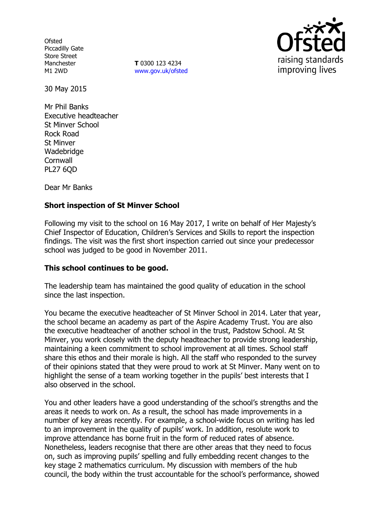**Ofsted** Piccadilly Gate Store Street Manchester M1 2WD

**T** 0300 123 4234 www.gov.uk/ofsted



30 May 2015

Mr Phil Banks Executive headteacher St Minver School Rock Road St Minver Wadebridge **Cornwall** PL27 6QD

Dear Mr Banks

### **Short inspection of St Minver School**

Following my visit to the school on 16 May 2017, I write on behalf of Her Majesty's Chief Inspector of Education, Children's Services and Skills to report the inspection findings. The visit was the first short inspection carried out since your predecessor school was judged to be good in November 2011.

### **This school continues to be good.**

The leadership team has maintained the good quality of education in the school since the last inspection.

You became the executive headteacher of St Minver School in 2014. Later that year, the school became an academy as part of the Aspire Academy Trust. You are also the executive headteacher of another school in the trust, Padstow School. At St Minver, you work closely with the deputy headteacher to provide strong leadership, maintaining a keen commitment to school improvement at all times. School staff share this ethos and their morale is high. All the staff who responded to the survey of their opinions stated that they were proud to work at St Minver. Many went on to highlight the sense of a team working together in the pupils' best interests that I also observed in the school.

You and other leaders have a good understanding of the school's strengths and the areas it needs to work on. As a result, the school has made improvements in a number of key areas recently. For example, a school-wide focus on writing has led to an improvement in the quality of pupils' work. In addition, resolute work to improve attendance has borne fruit in the form of reduced rates of absence. Nonetheless, leaders recognise that there are other areas that they need to focus on, such as improving pupils' spelling and fully embedding recent changes to the key stage 2 mathematics curriculum. My discussion with members of the hub council, the body within the trust accountable for the school's performance, showed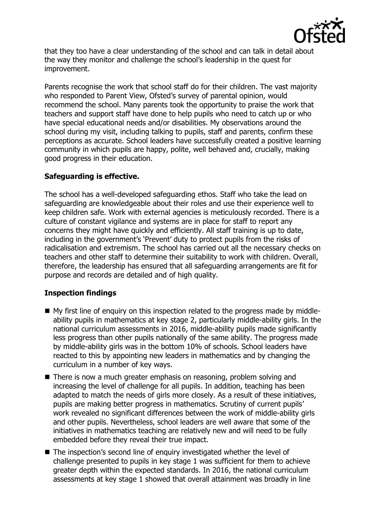

that they too have a clear understanding of the school and can talk in detail about the way they monitor and challenge the school's leadership in the quest for improvement.

Parents recognise the work that school staff do for their children. The vast majority who responded to Parent View, Ofsted's survey of parental opinion, would recommend the school. Many parents took the opportunity to praise the work that teachers and support staff have done to help pupils who need to catch up or who have special educational needs and/or disabilities. My observations around the school during my visit, including talking to pupils, staff and parents, confirm these perceptions as accurate. School leaders have successfully created a positive learning community in which pupils are happy, polite, well behaved and, crucially, making good progress in their education.

# **Safeguarding is effective.**

The school has a well-developed safeguarding ethos. Staff who take the lead on safeguarding are knowledgeable about their roles and use their experience well to keep children safe. Work with external agencies is meticulously recorded. There is a culture of constant vigilance and systems are in place for staff to report any concerns they might have quickly and efficiently. All staff training is up to date, including in the government's 'Prevent' duty to protect pupils from the risks of radicalisation and extremism. The school has carried out all the necessary checks on teachers and other staff to determine their suitability to work with children. Overall, therefore, the leadership has ensured that all safeguarding arrangements are fit for purpose and records are detailed and of high quality.

# **Inspection findings**

- My first line of enguiry on this inspection related to the progress made by middleability pupils in mathematics at key stage 2, particularly middle-ability girls. In the national curriculum assessments in 2016, middle-ability pupils made significantly less progress than other pupils nationally of the same ability. The progress made by middle-ability girls was in the bottom 10% of schools. School leaders have reacted to this by appointing new leaders in mathematics and by changing the curriculum in a number of key ways.
- There is now a much greater emphasis on reasoning, problem solving and increasing the level of challenge for all pupils. In addition, teaching has been adapted to match the needs of girls more closely. As a result of these initiatives, pupils are making better progress in mathematics. Scrutiny of current pupils' work revealed no significant differences between the work of middle-ability girls and other pupils. Nevertheless, school leaders are well aware that some of the initiatives in mathematics teaching are relatively new and will need to be fully embedded before they reveal their true impact.
- The inspection's second line of enquiry investigated whether the level of challenge presented to pupils in key stage 1 was sufficient for them to achieve greater depth within the expected standards. In 2016, the national curriculum assessments at key stage 1 showed that overall attainment was broadly in line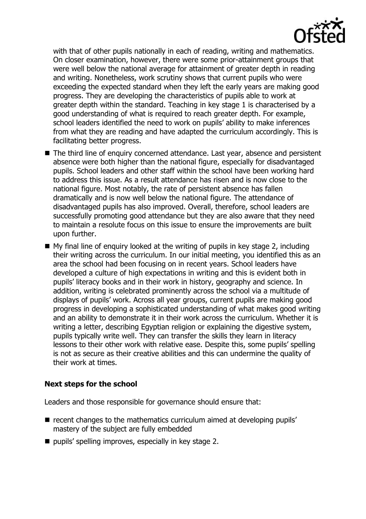

with that of other pupils nationally in each of reading, writing and mathematics. On closer examination, however, there were some prior-attainment groups that were well below the national average for attainment of greater depth in reading and writing. Nonetheless, work scrutiny shows that current pupils who were exceeding the expected standard when they left the early years are making good progress. They are developing the characteristics of pupils able to work at greater depth within the standard. Teaching in key stage 1 is characterised by a good understanding of what is required to reach greater depth. For example, school leaders identified the need to work on pupils' ability to make inferences from what they are reading and have adapted the curriculum accordingly. This is facilitating better progress.

- The third line of enquiry concerned attendance. Last year, absence and persistent absence were both higher than the national figure, especially for disadvantaged pupils. School leaders and other staff within the school have been working hard to address this issue. As a result attendance has risen and is now close to the national figure. Most notably, the rate of persistent absence has fallen dramatically and is now well below the national figure. The attendance of disadvantaged pupils has also improved. Overall, therefore, school leaders are successfully promoting good attendance but they are also aware that they need to maintain a resolute focus on this issue to ensure the improvements are built upon further.
- $\blacksquare$  My final line of enquiry looked at the writing of pupils in key stage 2, including their writing across the curriculum. In our initial meeting, you identified this as an area the school had been focusing on in recent years. School leaders have developed a culture of high expectations in writing and this is evident both in pupils' literacy books and in their work in history, geography and science. In addition, writing is celebrated prominently across the school via a multitude of displays of pupils' work. Across all year groups, current pupils are making good progress in developing a sophisticated understanding of what makes good writing and an ability to demonstrate it in their work across the curriculum. Whether it is writing a letter, describing Egyptian religion or explaining the digestive system, pupils typically write well. They can transfer the skills they learn in literacy lessons to their other work with relative ease. Despite this, some pupils' spelling is not as secure as their creative abilities and this can undermine the quality of their work at times.

# **Next steps for the school**

Leaders and those responsible for governance should ensure that:

- $\blacksquare$  recent changes to the mathematics curriculum aimed at developing pupils' mastery of the subject are fully embedded
- $\blacksquare$  pupils' spelling improves, especially in key stage 2.